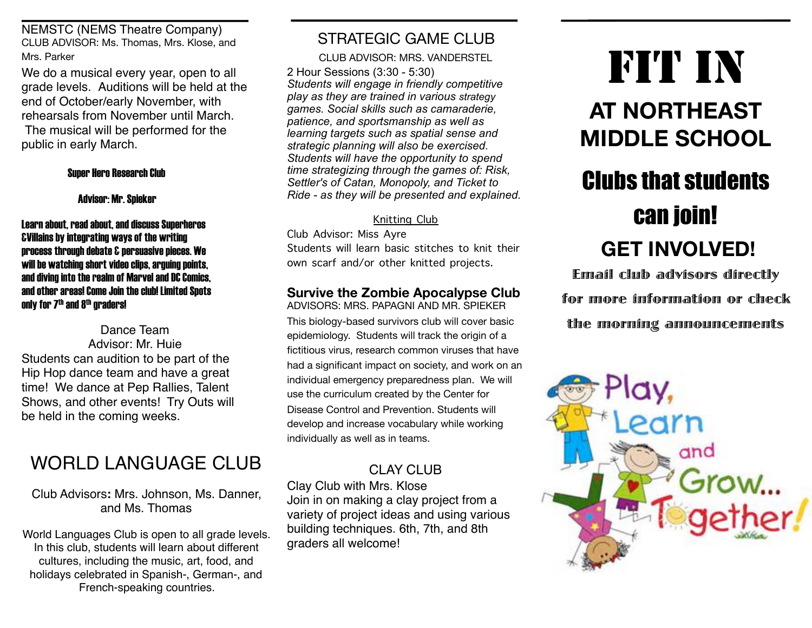NEMSTC (NEMS Theatre Company) CLUB ADVISOR: Ms. Thomas, Mrs. Klose, and Mrs. Parker

We do a musical every year, open to all grade levels. Auditions will be held at the end of October/early November, with rehearsals from November until March. The musical will be performed for the public in early March.

#### Super Hero Research Club

#### Advisor: Mr. Spieker

Learn about, read about, and discuss Superheros &Villains by integrating ways of the writing process through debate & persuasive pieces. We will be watching short video clips, arguing points, and diving into the realm of Marvel and DC Comics, and other areas! Come Join the club! Limited Spots only for  $Z<sup>th</sup>$  and  $8<sup>th</sup>$  graders!

Dance Team Advisor: Mr. Huie Students can audition to be part of the Hip Hop dance team and have a great time! We dance at Pep Rallies, Talent Shows, and other events! Try Outs will be held in the coming weeks.

# WORLD LANGUAGE CLUB

Club Advisors**:** Mrs. Johnson, Ms. Danner, and Ms. Thomas

World Languages Club is open to all grade levels. In this club, students will learn about different cultures, including the music, art, food, and holidays celebrated in Spanish-, German-, and French-speaking countries.

# STRATEGIC GAME CLUB

CLUB ADVISOR: MRS. VANDERSTEL

2 Hour Sessions (3:30 - 5:30) *Students will engage in friendly competitive play as they are trained in various strategy games. Social skills such as camaraderie, patience, and sportsmanship as well as learning targets such as spatial sense and strategic planning will also be exercised. Students will have the opportunity to spend time strategizing through the games of: Risk, Settler's of Catan, Monopoly, and Ticket to Ride - as they will be presented and explained.*

Knitting Club

Club Advisor: Miss Ayre Students will learn basic stitches to knit their own scarf and/or other knitted projects.

#### **Survive the Zombie Apocalypse Club**  ADVISORS: MRS. PAPAGNI AND MR. SPIEKER

This biology-based survivors club will cover basic epidemiology. Students will track the origin of a fictitious virus, research common viruses that have had a significant impact on society, and work on an individual emergency preparedness plan. We will use the curriculum created by the Center for Disease Control and Prevention. Students will develop and increase vocabulary while working individually as well as in teams.

## CLAY CLUB

Clay Club with Mrs. Klose Join in on making a clay project from a variety of project ideas and using various building techniques. 6th, 7th, and 8th graders all welcome!

# FIT IN

# **AT NORTHEAST MIDDLE SCHOOL**

# Clubs that students can join!  **GET INVOLVED!**

Email club advisors directly for more information or check the morning announcements